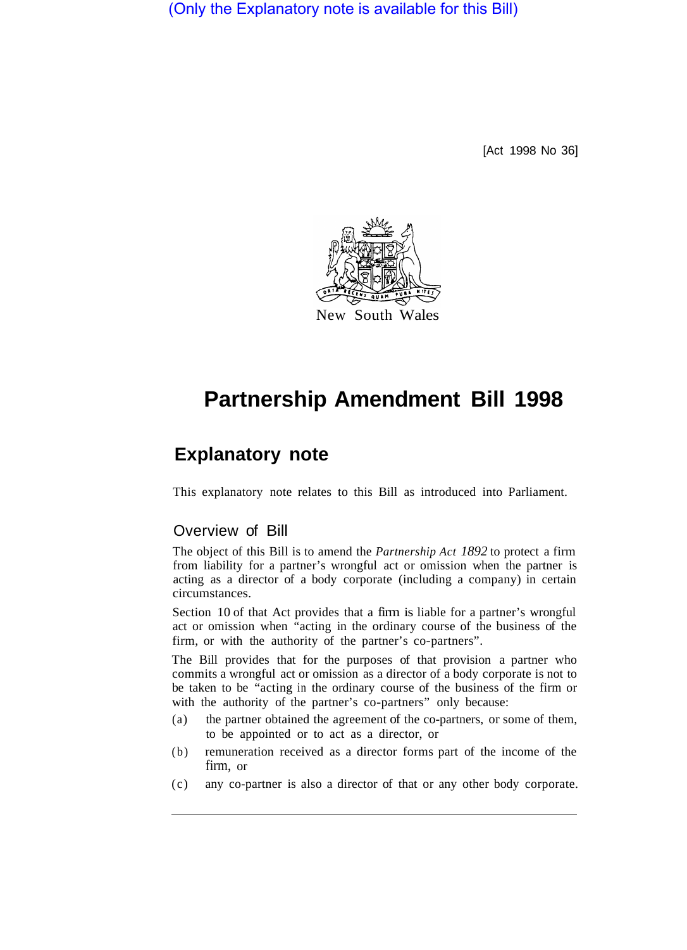(Only the Explanatory note is available for this Bill)

[Act 1998 No 36]



## **Partnership Amendment Bill 1998**

## **Explanatory note**

This explanatory note relates to this Bill as introduced into Parliament.

## Overview of Bill

The object of this Bill is to amend the *Partnership Act 1892* to protect a firm from liability for a partner's wrongful act or omission when the partner is acting as a director of a body corporate (including a company) in certain circumstances.

Section 10 of that Act provides that a firm is liable for a partner's wrongful act or omission when "acting in the ordinary course of the business of the firm, or with the authority of the partner's co-partners".

The Bill provides that for the purposes of that provision a partner who commits a wrongful act or omission as a director of a body corporate is not to be taken to be "acting in the ordinary course of the business of the firm or with the authority of the partner's co-partners" only because:

- (a) the partner obtained the agreement of the co-partners, or some of them, to be appointed or to act as a director, or
- (b) remuneration received as a director forms part of the income of the firm, or
- (c) any co-partner is also a director of that or any other body corporate.